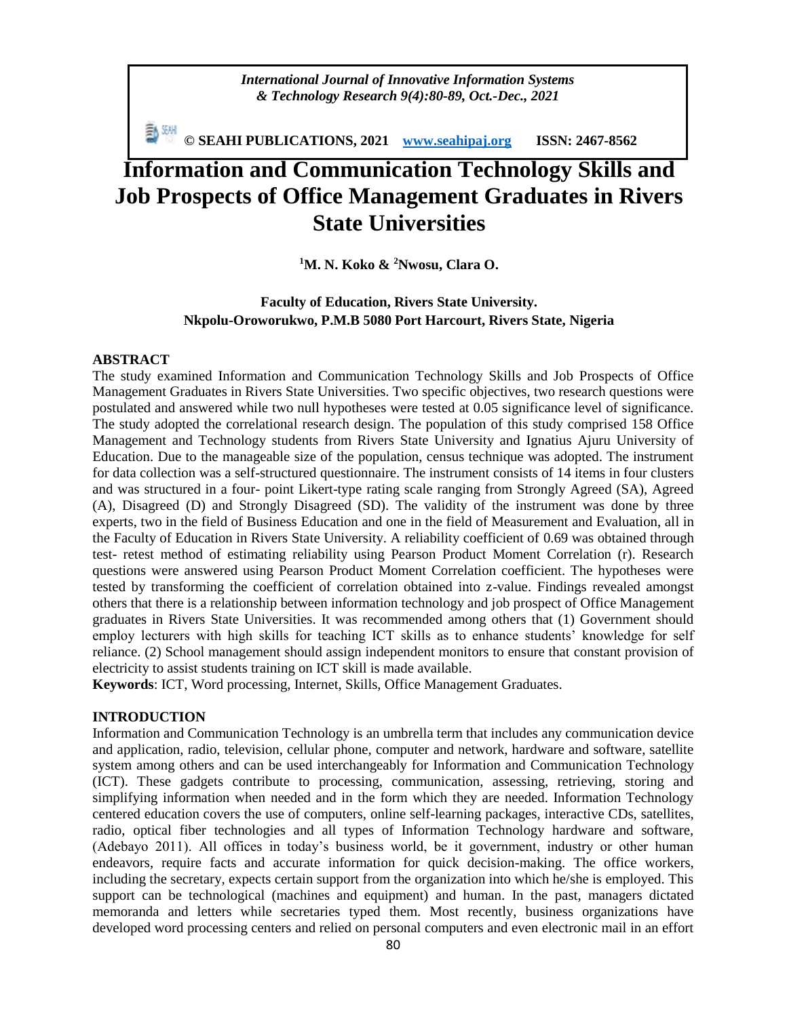*International Journal of Innovative Information Systems & Technology Research 9(4):80-89, Oct.-Dec., 2021*

**© SEAHI PUBLICATIONS, 2021 [www.seahipaj.org](http://www.seahipaj.org/) ISSN: 2467-8562**

# **Information and Communication Technology Skills and Job Prospects of Office Management Graduates in Rivers State Universities**

**<sup>1</sup>M. N. Koko & <sup>2</sup>Nwosu, Clara O.**

# **Faculty of Education, Rivers State University. Nkpolu-Oroworukwo, P.M.B 5080 Port Harcourt, Rivers State, Nigeria**

## **ABSTRACT**

The study examined Information and Communication Technology Skills and Job Prospects of Office Management Graduates in Rivers State Universities. Two specific objectives, two research questions were postulated and answered while two null hypotheses were tested at 0.05 significance level of significance. The study adopted the correlational research design. The population of this study comprised 158 Office Management and Technology students from Rivers State University and Ignatius Ajuru University of Education. Due to the manageable size of the population, census technique was adopted. The instrument for data collection was a self-structured questionnaire. The instrument consists of 14 items in four clusters and was structured in a four- point Likert-type rating scale ranging from Strongly Agreed (SA), Agreed (A), Disagreed (D) and Strongly Disagreed (SD). The validity of the instrument was done by three experts, two in the field of Business Education and one in the field of Measurement and Evaluation, all in the Faculty of Education in Rivers State University. A reliability coefficient of 0.69 was obtained through test- retest method of estimating reliability using Pearson Product Moment Correlation (r). Research questions were answered using Pearson Product Moment Correlation coefficient. The hypotheses were tested by transforming the coefficient of correlation obtained into z-value. Findings revealed amongst others that there is a relationship between information technology and job prospect of Office Management graduates in Rivers State Universities. It was recommended among others that (1) Government should employ lecturers with high skills for teaching ICT skills as to enhance students' knowledge for self reliance. (2) School management should assign independent monitors to ensure that constant provision of electricity to assist students training on ICT skill is made available.

**Keywords**: ICT, Word processing, Internet, Skills, Office Management Graduates.

# **INTRODUCTION**

Information and Communication Technology is an umbrella term that includes any communication device and application, radio, television, cellular phone, computer and network, hardware and software, satellite system among others and can be used interchangeably for Information and Communication Technology (ICT). These gadgets contribute to processing, communication, assessing, retrieving, storing and simplifying information when needed and in the form which they are needed. Information Technology centered education covers the use of computers, online self-learning packages, interactive CDs, satellites, radio, optical fiber technologies and all types of Information Technology hardware and software, (Adebayo 2011). All offices in today's business world, be it government, industry or other human endeavors, require facts and accurate information for quick decision-making. The office workers, including the secretary, expects certain support from the organization into which he/she is employed. This support can be technological (machines and equipment) and human. In the past, managers dictated memoranda and letters while secretaries typed them. Most recently, business organizations have developed word processing centers and relied on personal computers and even electronic mail in an effort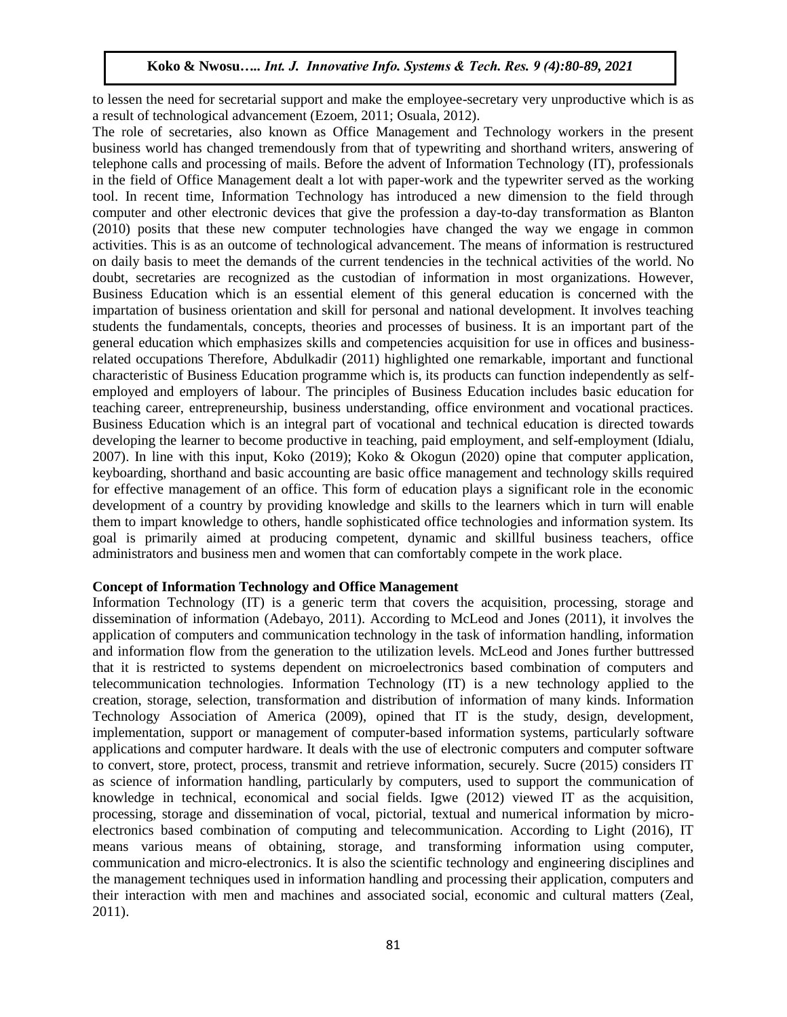to lessen the need for secretarial support and make the employee-secretary very unproductive which is as a result of technological advancement (Ezoem, 2011; Osuala, 2012).

The role of secretaries, also known as Office Management and Technology workers in the present business world has changed tremendously from that of typewriting and shorthand writers, answering of telephone calls and processing of mails. Before the advent of Information Technology (IT), professionals in the field of Office Management dealt a lot with paper-work and the typewriter served as the working tool. In recent time, Information Technology has introduced a new dimension to the field through computer and other electronic devices that give the profession a day-to-day transformation as Blanton (2010) posits that these new computer technologies have changed the way we engage in common activities. This is as an outcome of technological advancement. The means of information is restructured on daily basis to meet the demands of the current tendencies in the technical activities of the world. No doubt, secretaries are recognized as the custodian of information in most organizations. However, Business Education which is an essential element of this general education is concerned with the impartation of business orientation and skill for personal and national development. It involves teaching students the fundamentals, concepts, theories and processes of business. It is an important part of the general education which emphasizes skills and competencies acquisition for use in offices and businessrelated occupations Therefore, Abdulkadir (2011) highlighted one remarkable, important and functional characteristic of Business Education programme which is, its products can function independently as selfemployed and employers of labour. The principles of Business Education includes basic education for teaching career, entrepreneurship, business understanding, office environment and vocational practices. Business Education which is an integral part of vocational and technical education is directed towards developing the learner to become productive in teaching, paid employment, and self-employment (Idialu, 2007). In line with this input, Koko (2019); Koko & Okogun (2020) opine that computer application, keyboarding, shorthand and basic accounting are basic office management and technology skills required for effective management of an office. This form of education plays a significant role in the economic development of a country by providing knowledge and skills to the learners which in turn will enable them to impart knowledge to others, handle sophisticated office technologies and information system. Its goal is primarily aimed at producing competent, dynamic and skillful business teachers, office administrators and business men and women that can comfortably compete in the work place.

## **Concept of Information Technology and Office Management**

Information Technology (IT) is a generic term that covers the acquisition, processing, storage and dissemination of information (Adebayo, 2011). According to McLeod and Jones (2011), it involves the application of computers and communication technology in the task of information handling, information and information flow from the generation to the utilization levels. McLeod and Jones further buttressed that it is restricted to systems dependent on microelectronics based combination of computers and telecommunication technologies. Information Technology (IT) is a new technology applied to the creation, storage, selection, transformation and distribution of information of many kinds. Information Technology Association of America (2009), opined that IT is the study, design, development, implementation, support or management of computer-based information systems, particularly software applications and computer hardware. It deals with the use of electronic computers and computer software to convert, store, protect, process, transmit and retrieve information, securely. Sucre (2015) considers IT as science of information handling, particularly by computers, used to support the communication of knowledge in technical, economical and social fields. Igwe (2012) viewed IT as the acquisition, processing, storage and dissemination of vocal, pictorial, textual and numerical information by microelectronics based combination of computing and telecommunication. According to Light (2016), IT means various means of obtaining, storage, and transforming information using computer, communication and micro-electronics. It is also the scientific technology and engineering disciplines and the management techniques used in information handling and processing their application, computers and their interaction with men and machines and associated social, economic and cultural matters (Zeal, 2011).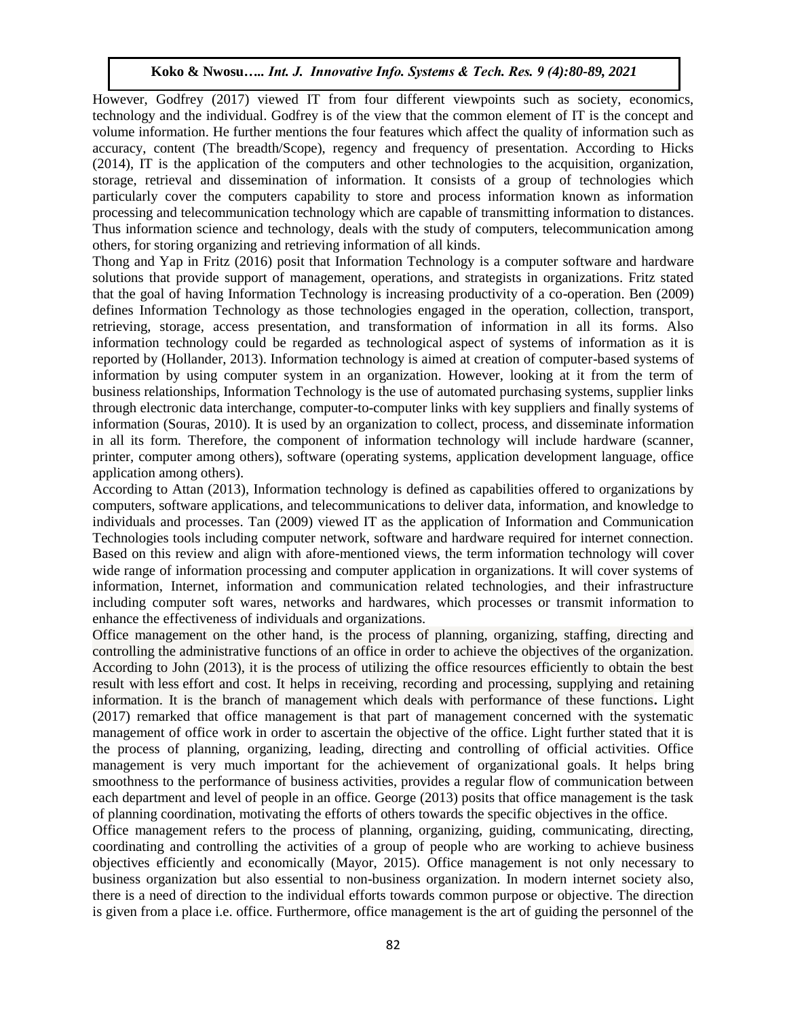However, Godfrey (2017) viewed IT from four different viewpoints such as society, economics, technology and the individual. Godfrey is of the view that the common element of IT is the concept and volume information. He further mentions the four features which affect the quality of information such as accuracy, content (The breadth/Scope), regency and frequency of presentation. According to Hicks (2014), IT is the application of the computers and other technologies to the acquisition, organization, storage, retrieval and dissemination of information. It consists of a group of technologies which particularly cover the computers capability to store and process information known as information processing and telecommunication technology which are capable of transmitting information to distances. Thus information science and technology, deals with the study of computers, telecommunication among others, for storing organizing and retrieving information of all kinds.

Thong and Yap in Fritz (2016) posit that Information Technology is a computer software and hardware solutions that provide support of management, operations, and strategists in organizations. Fritz stated that the goal of having Information Technology is increasing productivity of a co-operation. Ben (2009) defines Information Technology as those technologies engaged in the operation, collection, transport, retrieving, storage, access presentation, and transformation of information in all its forms. Also information technology could be regarded as technological aspect of systems of information as it is reported by (Hollander, 2013). Information technology is aimed at creation of computer-based systems of information by using computer system in an organization. However, looking at it from the term of business relationships, Information Technology is the use of automated purchasing systems, supplier links through electronic data interchange, computer-to-computer links with key suppliers and finally systems of information (Souras, 2010). It is used by an organization to collect, process, and disseminate information in all its form. Therefore, the component of information technology will include hardware (scanner, printer, computer among others), software (operating systems, application development language, office application among others).

According to Attan (2013), Information technology is defined as capabilities offered to organizations by computers, software applications, and telecommunications to deliver data, information, and knowledge to individuals and processes. Tan (2009) viewed IT as the application of Information and Communication Technologies tools including computer network, software and hardware required for internet connection. Based on this review and align with afore-mentioned views, the term information technology will cover wide range of information processing and computer application in organizations. It will cover systems of information, Internet, information and communication related technologies, and their infrastructure including computer soft wares, networks and hardwares, which processes or transmit information to enhance the effectiveness of individuals and organizations.

Office management on the other hand, is the process of planning, organizing, staffing, directing and controlling the administrative functions of an office in order to achieve the objectives of the organization. According to John (2013), it is the process of utilizing the office resources efficiently to obtain the best result with less effort and cost. It helps in receiving, recording and processing, supplying and retaining information. It is the branch of management which deals with performance of these functions**.** Light (2017) remarked that office management is that part of management concerned with the systematic management of office work in order to ascertain the objective of the office. Light further stated that it is the process of planning, organizing, leading, directing and controlling of official activities. Office management is very much important for the achievement of organizational goals. It helps bring smoothness to the performance of business activities, provides a regular flow of communication between each department and level of people in an office. George (2013) posits that office management is the task of planning coordination, motivating the efforts of others towards the specific objectives in the office.

Office management refers to the process of planning, organizing, guiding, communicating, directing, coordinating and controlling the activities of a group of people who are working to achieve business objectives efficiently and economically (Mayor, 2015). Office management is not only necessary to business organization but also essential to non-business organization. In modern internet society also, there is a need of direction to the individual efforts towards common purpose or objective. The direction is given from a place i.e. office. Furthermore, office management is the art of guiding the personnel of the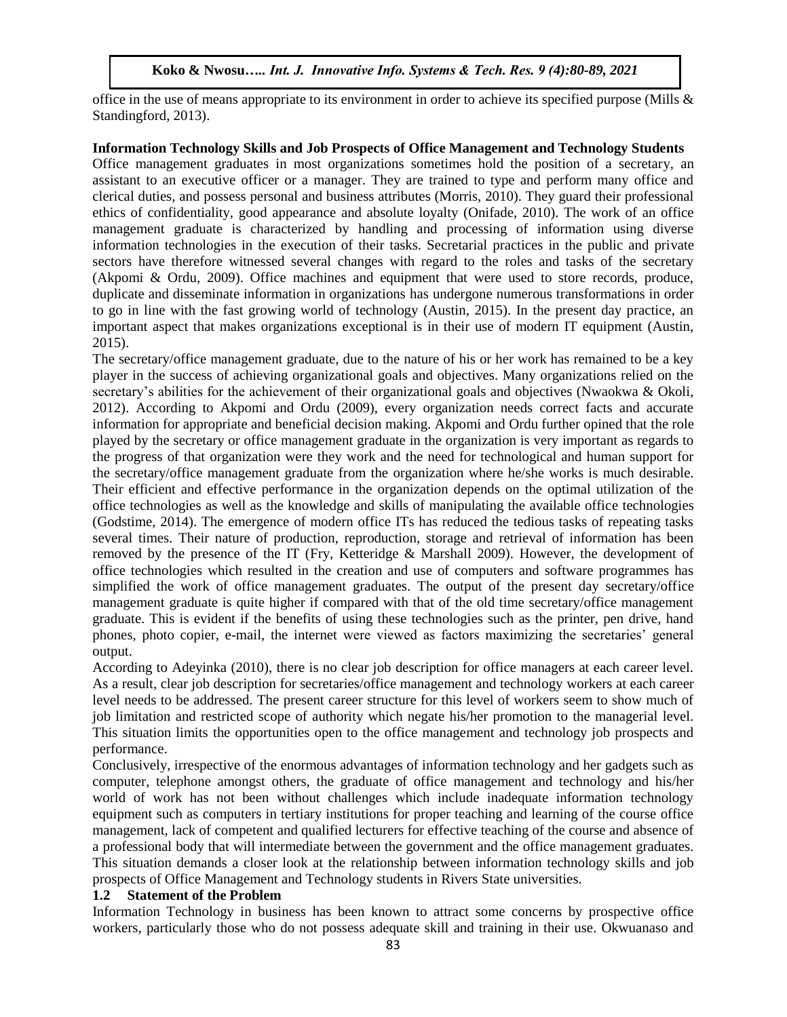office in the use of means appropriate to its environment in order to achieve its specified purpose (Mills & Standingford, 2013).

## **Information Technology Skills and Job Prospects of Office Management and Technology Students**

Office management graduates in most organizations sometimes hold the position of a secretary, an assistant to an executive officer or a manager. They are trained to type and perform many office and clerical duties, and possess personal and business attributes (Morris, 2010). They guard their professional ethics of confidentiality, good appearance and absolute loyalty (Onifade, 2010). The work of an office management graduate is characterized by handling and processing of information using diverse information technologies in the execution of their tasks. Secretarial practices in the public and private sectors have therefore witnessed several changes with regard to the roles and tasks of the secretary (Akpomi & Ordu, 2009). Office machines and equipment that were used to store records, produce, duplicate and disseminate information in organizations has undergone numerous transformations in order to go in line with the fast growing world of technology (Austin, 2015). In the present day practice, an important aspect that makes organizations exceptional is in their use of modern IT equipment (Austin, 2015).

The secretary/office management graduate, due to the nature of his or her work has remained to be a key player in the success of achieving organizational goals and objectives. Many organizations relied on the secretary's abilities for the achievement of their organizational goals and objectives (Nwaokwa & Okoli, 2012). According to Akpomi and Ordu (2009), every organization needs correct facts and accurate information for appropriate and beneficial decision making. Akpomi and Ordu further opined that the role played by the secretary or office management graduate in the organization is very important as regards to the progress of that organization were they work and the need for technological and human support for the secretary/office management graduate from the organization where he/she works is much desirable. Their efficient and effective performance in the organization depends on the optimal utilization of the office technologies as well as the knowledge and skills of manipulating the available office technologies (Godstime, 2014). The emergence of modern office ITs has reduced the tedious tasks of repeating tasks several times. Their nature of production, reproduction, storage and retrieval of information has been removed by the presence of the IT (Fry, Ketteridge & Marshall 2009). However, the development of office technologies which resulted in the creation and use of computers and software programmes has simplified the work of office management graduates. The output of the present day secretary/office management graduate is quite higher if compared with that of the old time secretary/office management graduate. This is evident if the benefits of using these technologies such as the printer, pen drive, hand phones, photo copier, e-mail, the internet were viewed as factors maximizing the secretaries' general output.

According to Adeyinka (2010), there is no clear job description for office managers at each career level. As a result, clear job description for secretaries/office management and technology workers at each career level needs to be addressed. The present career structure for this level of workers seem to show much of job limitation and restricted scope of authority which negate his/her promotion to the managerial level. This situation limits the opportunities open to the office management and technology job prospects and performance.

Conclusively, irrespective of the enormous advantages of information technology and her gadgets such as computer, telephone amongst others, the graduate of office management and technology and his/her world of work has not been without challenges which include inadequate information technology equipment such as computers in tertiary institutions for proper teaching and learning of the course office management, lack of competent and qualified lecturers for effective teaching of the course and absence of a professional body that will intermediate between the government and the office management graduates. This situation demands a closer look at the relationship between information technology skills and job prospects of Office Management and Technology students in Rivers State universities.

# **1.2 Statement of the Problem**

Information Technology in business has been known to attract some concerns by prospective office workers, particularly those who do not possess adequate skill and training in their use. Okwuanaso and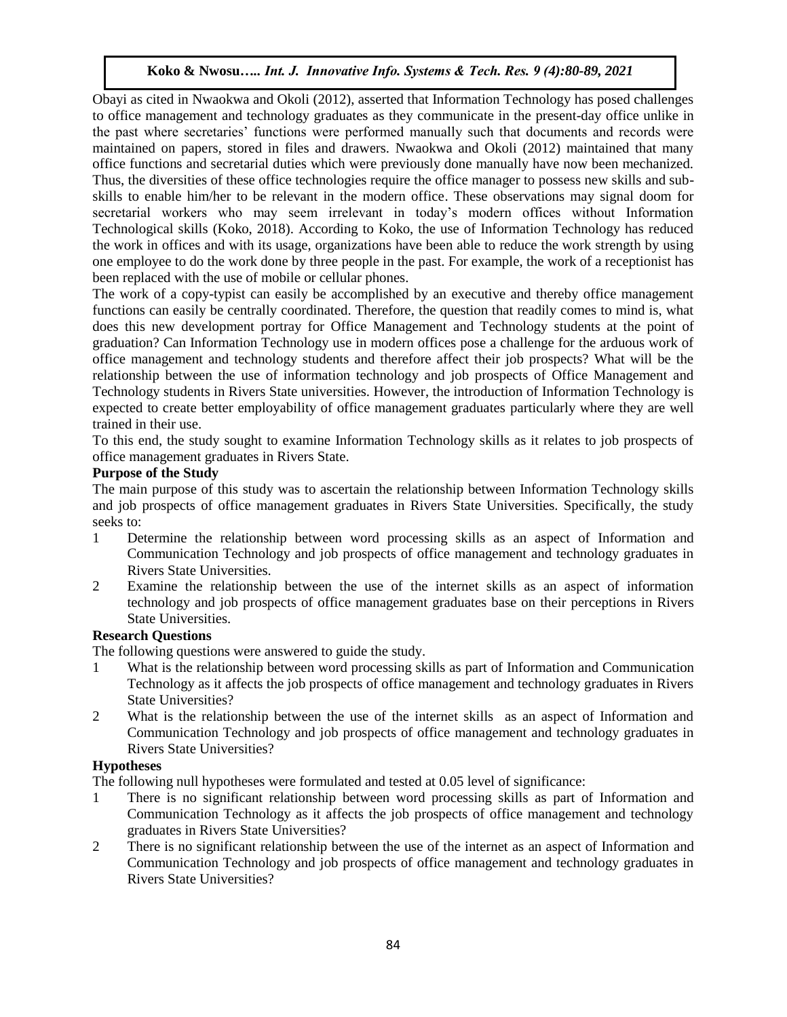Obayi as cited in Nwaokwa and Okoli (2012), asserted that Information Technology has posed challenges to office management and technology graduates as they communicate in the present-day office unlike in the past where secretaries' functions were performed manually such that documents and records were maintained on papers, stored in files and drawers. Nwaokwa and Okoli (2012) maintained that many office functions and secretarial duties which were previously done manually have now been mechanized. Thus, the diversities of these office technologies require the office manager to possess new skills and subskills to enable him/her to be relevant in the modern office. These observations may signal doom for secretarial workers who may seem irrelevant in today's modern offices without Information Technological skills (Koko, 2018). According to Koko, the use of Information Technology has reduced the work in offices and with its usage, organizations have been able to reduce the work strength by using one employee to do the work done by three people in the past. For example, the work of a receptionist has been replaced with the use of mobile or cellular phones.

The work of a copy-typist can easily be accomplished by an executive and thereby office management functions can easily be centrally coordinated. Therefore, the question that readily comes to mind is, what does this new development portray for Office Management and Technology students at the point of graduation? Can Information Technology use in modern offices pose a challenge for the arduous work of office management and technology students and therefore affect their job prospects? What will be the relationship between the use of information technology and job prospects of Office Management and Technology students in Rivers State universities. However, the introduction of Information Technology is expected to create better employability of office management graduates particularly where they are well trained in their use.

To this end, the study sought to examine Information Technology skills as it relates to job prospects of office management graduates in Rivers State.

# **Purpose of the Study**

The main purpose of this study was to ascertain the relationship between Information Technology skills and job prospects of office management graduates in Rivers State Universities. Specifically, the study seeks to:

- 1 Determine the relationship between word processing skills as an aspect of Information and Communication Technology and job prospects of office management and technology graduates in Rivers State Universities.
- 2 Examine the relationship between the use of the internet skills as an aspect of information technology and job prospects of office management graduates base on their perceptions in Rivers State Universities.

# **Research Questions**

The following questions were answered to guide the study.

- 1 What is the relationship between word processing skills as part of Information and Communication Technology as it affects the job prospects of office management and technology graduates in Rivers State Universities?
- 2 What is the relationship between the use of the internet skills as an aspect of Information and Communication Technology and job prospects of office management and technology graduates in Rivers State Universities?

# **Hypotheses**

The following null hypotheses were formulated and tested at 0.05 level of significance:

- 1 There is no significant relationship between word processing skills as part of Information and Communication Technology as it affects the job prospects of office management and technology graduates in Rivers State Universities?
- 2 There is no significant relationship between the use of the internet as an aspect of Information and Communication Technology and job prospects of office management and technology graduates in Rivers State Universities?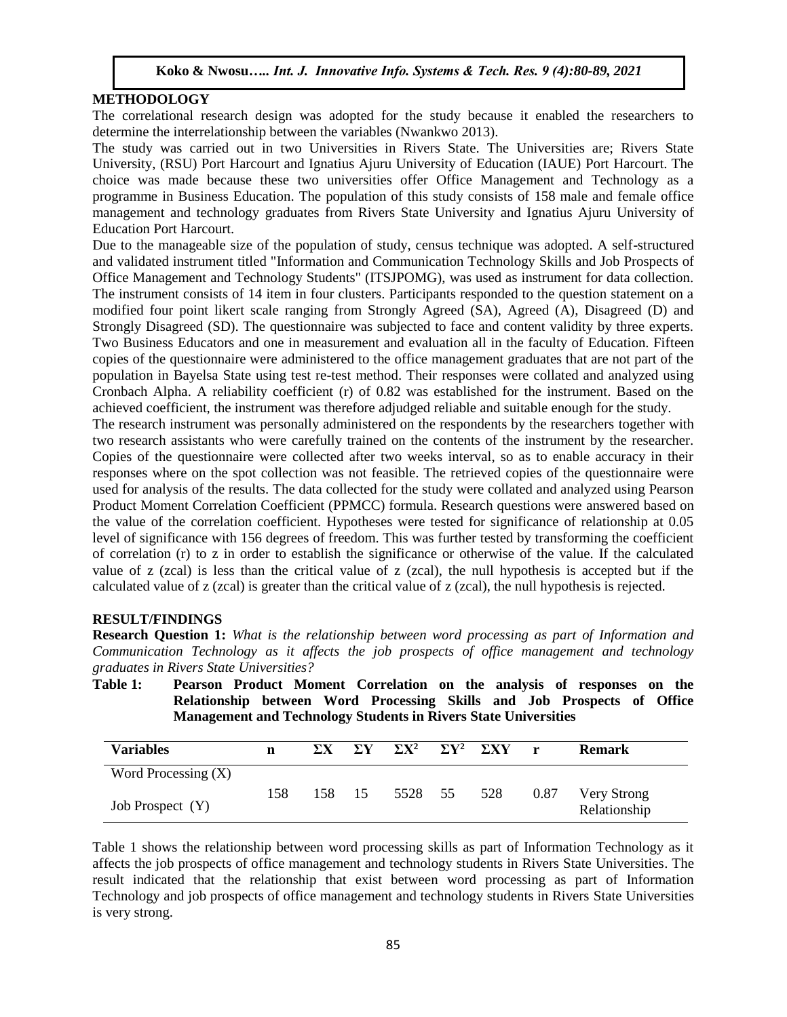## **METHODOLOGY**

The correlational research design was adopted for the study because it enabled the researchers to determine the interrelationship between the variables (Nwankwo 2013).

The study was carried out in two Universities in Rivers State. The Universities are; Rivers State University, (RSU) Port Harcourt and Ignatius Ajuru University of Education (IAUE) Port Harcourt. The choice was made because these two universities offer Office Management and Technology as a programme in Business Education. The population of this study consists of 158 male and female office management and technology graduates from Rivers State University and Ignatius Ajuru University of Education Port Harcourt.

Due to the manageable size of the population of study, census technique was adopted. A self-structured and validated instrument titled "Information and Communication Technology Skills and Job Prospects of Office Management and Technology Students" (ITSJPOMG), was used as instrument for data collection. The instrument consists of 14 item in four clusters. Participants responded to the question statement on a modified four point likert scale ranging from Strongly Agreed (SA), Agreed (A), Disagreed (D) and Strongly Disagreed (SD). The questionnaire was subjected to face and content validity by three experts. Two Business Educators and one in measurement and evaluation all in the faculty of Education. Fifteen copies of the questionnaire were administered to the office management graduates that are not part of the population in Bayelsa State using test re-test method. Their responses were collated and analyzed using Cronbach Alpha. A reliability coefficient (r) of 0.82 was established for the instrument. Based on the achieved coefficient, the instrument was therefore adjudged reliable and suitable enough for the study.

The research instrument was personally administered on the respondents by the researchers together with two research assistants who were carefully trained on the contents of the instrument by the researcher. Copies of the questionnaire were collected after two weeks interval, so as to enable accuracy in their responses where on the spot collection was not feasible. The retrieved copies of the questionnaire were used for analysis of the results. The data collected for the study were collated and analyzed using Pearson Product Moment Correlation Coefficient (PPMCC) formula. Research questions were answered based on the value of the correlation coefficient. Hypotheses were tested for significance of relationship at 0.05 level of significance with 156 degrees of freedom. This was further tested by transforming the coefficient of correlation (r) to z in order to establish the significance or otherwise of the value. If the calculated value of z (zcal) is less than the critical value of z (zcal), the null hypothesis is accepted but if the calculated value of z (zcal) is greater than the critical value of z (zcal), the null hypothesis is rejected.

#### **RESULT/FINDINGS**

**Research Question 1:** *What is the relationship between word processing as part of Information and Communication Technology as it affects the job prospects of office management and technology graduates in Rivers State Universities?*

| <u>namagement and Technology Dualents in Kivers Duite Omversities</u><br>$\Sigma X$ $\Sigma Y$ $\Sigma X^2$ $\Sigma Y^2$ $\Sigma XY$ |     |  |  |                    |  |  |              |                             |
|--------------------------------------------------------------------------------------------------------------------------------------|-----|--|--|--------------------|--|--|--------------|-----------------------------|
| <b>Variables</b>                                                                                                                     | n   |  |  |                    |  |  | $\mathbf{r}$ | <b>Remark</b>               |
| Word Processing $(X)$                                                                                                                |     |  |  |                    |  |  |              |                             |
| Job Prospect (Y)                                                                                                                     | 158 |  |  | 158 15 5528 55 528 |  |  | 0.87         | Very Strong<br>Relationship |

**Table 1: Pearson Product Moment Correlation on the analysis of responses on the Relationship between Word Processing Skills and Job Prospects of Office Management and Technology Students in Rivers State Universities**

Table 1 shows the relationship between word processing skills as part of Information Technology as it affects the job prospects of office management and technology students in Rivers State Universities. The result indicated that the relationship that exist between word processing as part of Information Technology and job prospects of office management and technology students in Rivers State Universities is very strong.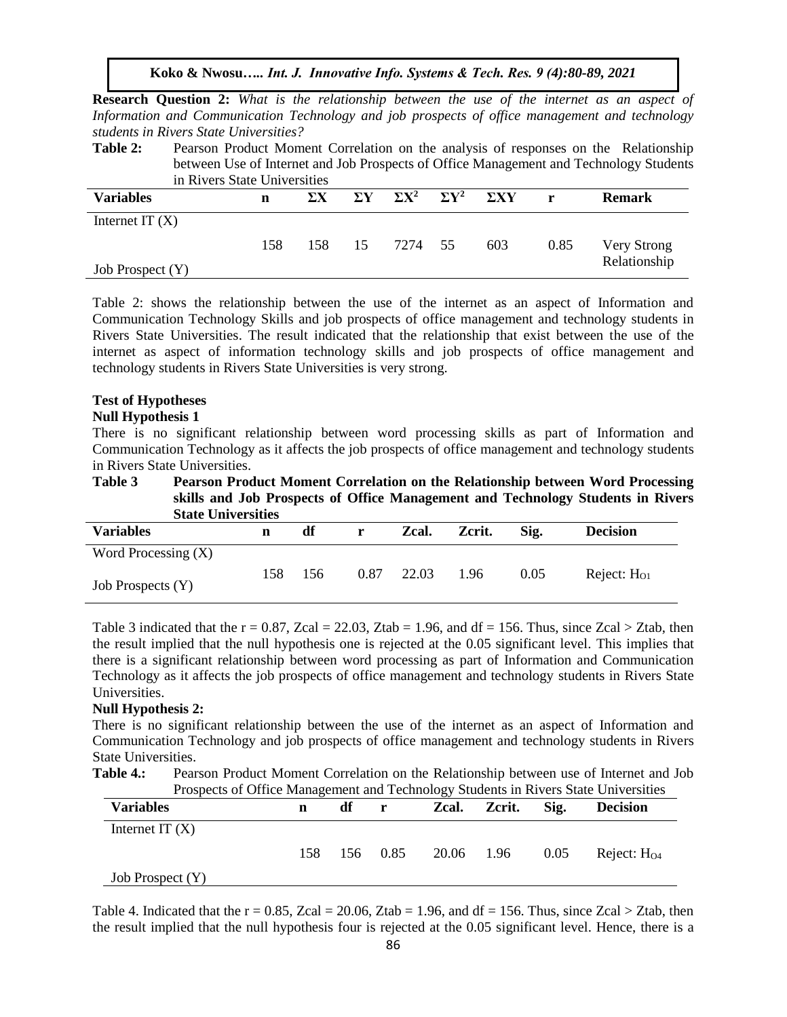**Research Question 2:** *What is the relationship between the use of the internet as an aspect of Information and Communication Technology and job prospects of office management and technology students in Rivers State Universities?*

**Table 2:** Pearson Product Moment Correlation on the analysis of responses on the Relationship between Use of Internet and Job Prospects of Office Management and Technology Students in Rivers State Universities

| <u>m istologiaco</u> cm velbiuco |     |            |            |              |                         |             |      |               |  |
|----------------------------------|-----|------------|------------|--------------|-------------------------|-------------|------|---------------|--|
| <b>Variables</b>                 | n   | $\Sigma$ X | $\Sigma$ Y | $\Sigma X^2$ | $\Sigma$ Y <sup>2</sup> | $\Sigma XY$ | r    | <b>Remark</b> |  |
| Internet IT $(X)$                |     |            |            |              |                         |             |      |               |  |
|                                  | 158 | 158        | 15         | 7274 55      |                         | 603         | 0.85 | Very Strong   |  |
| Job Prospect (Y)                 |     |            |            |              |                         |             |      | Relationship  |  |

Table 2: shows the relationship between the use of the internet as an aspect of Information and Communication Technology Skills and job prospects of office management and technology students in Rivers State Universities. The result indicated that the relationship that exist between the use of the internet as aspect of information technology skills and job prospects of office management and technology students in Rivers State Universities is very strong.

## **Test of Hypotheses**

#### **Null Hypothesis 1**

There is no significant relationship between word processing skills as part of Information and Communication Technology as it affects the job prospects of office management and technology students in Rivers State Universities.

**Table 3 Pearson Product Moment Correlation on the Relationship between Word Processing skills and Job Prospects of Office Management and Technology Students in Rivers State Universities**

| <b>Variables</b>      | n   | df  | r    | Zcal. | Zcrit. | Sig. | <b>Decision</b> |
|-----------------------|-----|-----|------|-------|--------|------|-----------------|
| Word Processing $(X)$ |     |     |      |       |        |      |                 |
| Job Prospects (Y)     | 158 | 156 | 0.87 | 22.03 | 1.96   | 0.05 | Reject: $H01$   |

Table 3 indicated that the  $r = 0.87$ , Zcal = 22.03, Ztab = 1.96, and df = 156. Thus, since Zcal > Ztab, then the result implied that the null hypothesis one is rejected at the 0.05 significant level. This implies that there is a significant relationship between word processing as part of Information and Communication Technology as it affects the job prospects of office management and technology students in Rivers State Universities.

## **Null Hypothesis 2:**

There is no significant relationship between the use of the internet as an aspect of Information and Communication Technology and job prospects of office management and technology students in Rivers State Universities.

**Table 4.:** Pearson Product Moment Correlation on the Relationship between use of Internet and Job Prospects of Office Management and Technology Students in Rivers State Universities

| <b>Variables</b>   | n    | df |          |                 | <b>Zcal. Zcrit.</b> | Sig. | <b>Decision</b> |
|--------------------|------|----|----------|-----------------|---------------------|------|-----------------|
| Internet IT $(X)$  |      |    |          |                 |                     |      |                 |
|                    | 158. |    | 156 0.85 | 20.06 1.96 0.05 |                     |      | Reject: $H04$   |
| Job Prospect $(Y)$ |      |    |          |                 |                     |      |                 |

Table 4. Indicated that the  $r = 0.85$ , Zcal = 20.06, Ztab = 1.96, and df = 156. Thus, since Zcal > Ztab, then the result implied that the null hypothesis four is rejected at the 0.05 significant level. Hence, there is a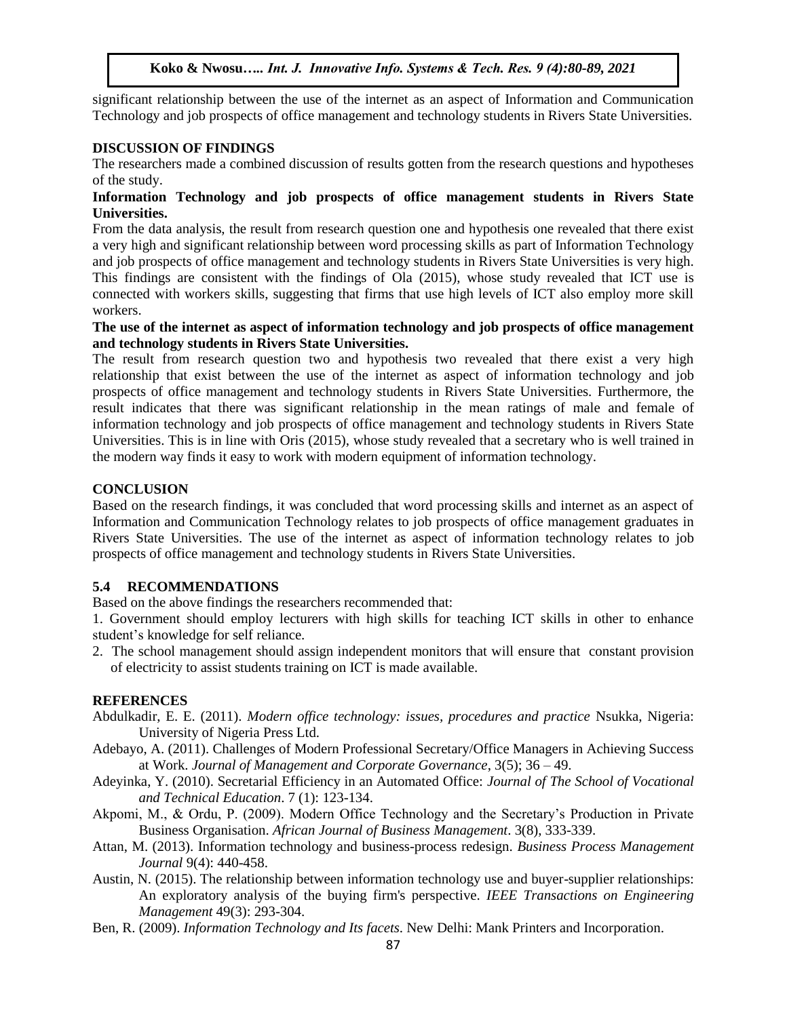significant relationship between the use of the internet as an aspect of Information and Communication Technology and job prospects of office management and technology students in Rivers State Universities.

# **DISCUSSION OF FINDINGS**

The researchers made a combined discussion of results gotten from the research questions and hypotheses of the study.

## **Information Technology and job prospects of office management students in Rivers State Universities.**

From the data analysis, the result from research question one and hypothesis one revealed that there exist a very high and significant relationship between word processing skills as part of Information Technology and job prospects of office management and technology students in Rivers State Universities is very high. This findings are consistent with the findings of Ola (2015), whose study revealed that ICT use is connected with workers skills, suggesting that firms that use high levels of ICT also employ more skill workers.

## **The use of the internet as aspect of information technology and job prospects of office management and technology students in Rivers State Universities.**

The result from research question two and hypothesis two revealed that there exist a very high relationship that exist between the use of the internet as aspect of information technology and job prospects of office management and technology students in Rivers State Universities. Furthermore, the result indicates that there was significant relationship in the mean ratings of male and female of information technology and job prospects of office management and technology students in Rivers State Universities. This is in line with Oris (2015), whose study revealed that a secretary who is well trained in the modern way finds it easy to work with modern equipment of information technology.

# **CONCLUSION**

Based on the research findings, it was concluded that word processing skills and internet as an aspect of Information and Communication Technology relates to job prospects of office management graduates in Rivers State Universities. The use of the internet as aspect of information technology relates to job prospects of office management and technology students in Rivers State Universities.

# **5.4 RECOMMENDATIONS**

Based on the above findings the researchers recommended that:

1. Government should employ lecturers with high skills for teaching ICT skills in other to enhance student's knowledge for self reliance.

2. The school management should assign independent monitors that will ensure that constant provision of electricity to assist students training on ICT is made available.

# **REFERENCES**

- Abdulkadir, E. E. (2011). *Modern office technology: issues, procedures and practice* Nsukka, Nigeria: University of Nigeria Press Ltd.
- Adebayo, A. (2011). Challenges of Modern Professional Secretary/Office Managers in Achieving Success at Work. *Journal of Management and Corporate Governance*, 3(5); 36 – 49.
- Adeyinka, Y. (2010). Secretarial Efficiency in an Automated Office: *Journal of The School of Vocational and Technical Education*. 7 (1): 123-134.
- Akpomi, M., & Ordu, P. (2009). Modern Office Technology and the Secretary's Production in Private Business Organisation. *African Journal of Business Management*. 3(8), 333-339.
- Attan, M. (2013). Information technology and business-process redesign. *Business Process Management Journal* 9(4): 440-458.
- Austin, N. (2015). The relationship between information technology use and buyer-supplier relationships: An exploratory analysis of the buying firm's perspective. *IEEE Transactions on Engineering Management* 49(3): 293-304.
- Ben, R. (2009). *Information Technology and Its facets*. New Delhi: Mank Printers and Incorporation.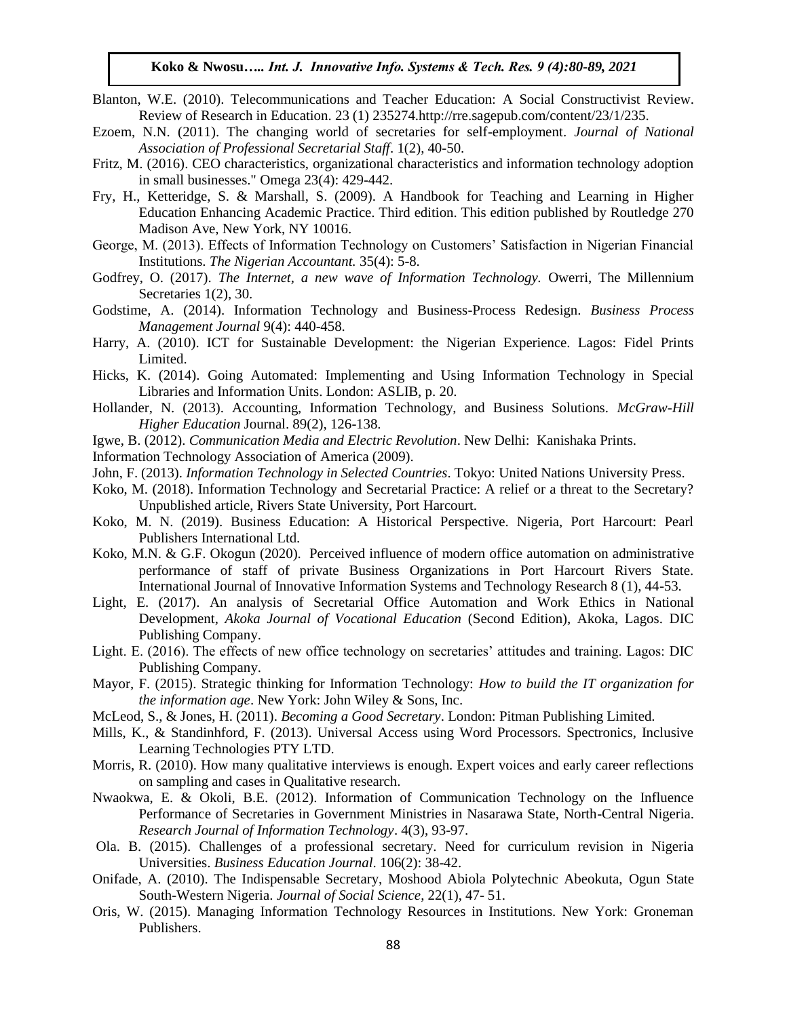- Blanton, W.E. (2010). Telecommunications and Teacher Education: A Social Constructivist Review. Review of Research in Education. 23 (1) 235274.http://rre.sagepub.com/content/23/1/235.
- Ezoem, N.N. (2011). The changing world of secretaries for self-employment. *Journal of National Association of Professional Secretarial Staff*. 1(2), 40-50.
- Fritz, M. (2016). CEO characteristics, organizational characteristics and information technology adoption in small businesses." Omega 23(4): 429-442.
- Fry, H., Ketteridge, S. & Marshall, S. (2009). A Handbook for Teaching and Learning in Higher Education Enhancing Academic Practice. Third edition. This edition published by Routledge 270 Madison Ave, New York, NY 10016.
- George, M. (2013). Effects of Information Technology on Customers' Satisfaction in Nigerian Financial Institutions. *The Nigerian Accountant.* 35(4): 5-8.
- Godfrey, O. (2017). *The Internet, a new wave of Information Technology.* Owerri, The Millennium Secretaries 1(2), 30.
- Godstime, A. (2014). Information Technology and Business-Process Redesign. *Business Process Management Journal* 9(4): 440-458.
- Harry, A. (2010). ICT for Sustainable Development: the Nigerian Experience. Lagos: Fidel Prints Limited.
- Hicks, K. (2014). Going Automated: Implementing and Using Information Technology in Special Libraries and Information Units. London: ASLIB, p. 20.
- Hollander, N. (2013). Accounting, Information Technology, and Business Solutions. *McGraw-Hill Higher Education* Journal. 89(2), 126-138.
- Igwe, B. (2012). *Communication Media and Electric Revolution*. New Delhi: Kanishaka Prints.
- Information Technology Association of America (2009).
- John, F. (2013). *Information Technology in Selected Countries*. Tokyo: United Nations University Press.
- Koko, M. (2018). Information Technology and Secretarial Practice: A relief or a threat to the Secretary? Unpublished article, Rivers State University, Port Harcourt.
- Koko, M. N. (2019). Business Education: A Historical Perspective. Nigeria, Port Harcourt: Pearl Publishers International Ltd.
- Koko, M.N. & G.F. Okogun (2020). Perceived influence of modern office automation on administrative performance of staff of private Business Organizations in Port Harcourt Rivers State. International Journal of Innovative Information Systems and Technology Research 8 (1), 44-53.
- Light, E. (2017). An analysis of Secretarial Office Automation and Work Ethics in National Development, *Akoka Journal of Vocational Education* (Second Edition), Akoka, Lagos. DIC Publishing Company.
- Light. E. (2016). The effects of new office technology on secretaries' attitudes and training. Lagos: DIC Publishing Company.
- Mayor, F. (2015). Strategic thinking for Information Technology: *How to build the IT organization for the information age*. New York: John Wiley & Sons, Inc.
- McLeod, S., & Jones, H. (2011). *Becoming a Good Secretary*. London: Pitman Publishing Limited.
- Mills, K., & Standinhford, F. (2013). Universal Access using Word Processors. Spectronics, Inclusive Learning Technologies PTY LTD.
- Morris, R. (2010). How many qualitative interviews is enough. Expert voices and early career reflections on sampling and cases in Qualitative research.
- Nwaokwa, E. & Okoli, B.E. (2012). Information of Communication Technology on the Influence Performance of Secretaries in Government Ministries in Nasarawa State, North-Central Nigeria. *Research Journal of Information Technology*. 4(3), 93-97.
- Ola. B. (2015). Challenges of a professional secretary. Need for curriculum revision in Nigeria Universities. *Business Education Journal*. 106(2): 38-42.
- Onifade, A. (2010). The Indispensable Secretary, Moshood Abiola Polytechnic Abeokuta, Ogun State South-Western Nigeria. *Journal of Social Science*, 22(1), 47- 51.
- Oris, W. (2015). Managing Information Technology Resources in Institutions. New York: Groneman Publishers.